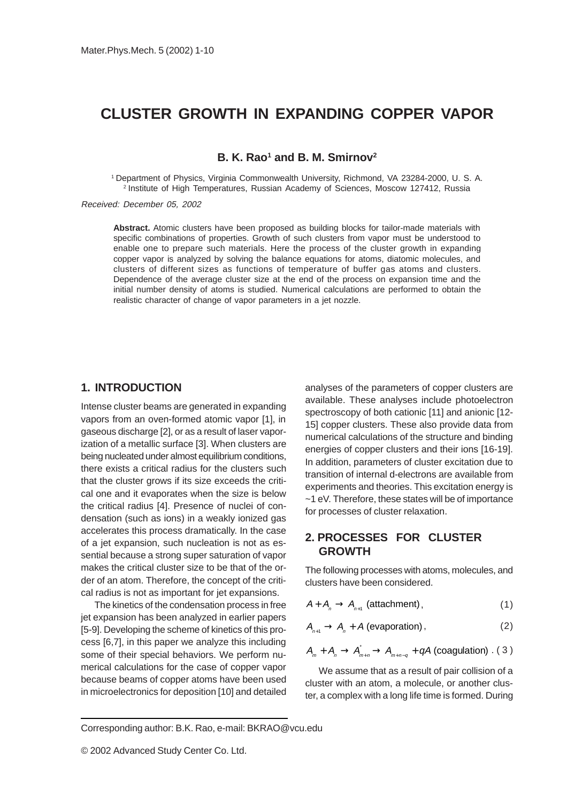# **CLUSTER GROWTH IN EXPANDING COPPER VAPOR**

**B. K. Rao<sup>1</sup> and B. M. Smirnov<sup>2</sup>** 

1 Department of Physics, Virginia Commonwealth University, Richmond, VA 23284-2000, U. S. A. 2 Institute of High Temperatures, Russian Academy of Sciences, Moscow 127412, Russia

Received: December 05, 2002

**Abstract.** Atomic clusters have been proposed as building blocks for tailor-made materials with specific combinations of properties. Growth of such clusters from vapor must be understood to enable one to prepare such materials. Here the process of the cluster growth in expanding copper vapor is analyzed by solving the balance equations for atoms, diatomic molecules, and clusters of different sizes as functions of temperature of buffer gas atoms and clusters. Dependence of the average cluster size at the end of the process on expansion time and the initial number density of atoms is studied. Numerical calculations are performed to obtain the realistic character of change of vapor parameters in a jet nozzle.

#### **1. INTRODUCTION**

Intense cluster beams are generated in expanding vapors from an oven-formed atomic vapor [1], in gaseous discharge [2], or as a result of laser vaporization of a metallic surface [3]. When clusters are being nucleated under almost equilibrium conditions, there exists a critical radius for the clusters such that the cluster grows if its size exceeds the critical one and it evaporates when the size is below the critical radius [4]. Presence of nuclei of condensation (such as ions) in a weakly ionized gas accelerates this process dramatically. In the case of a jet expansion, such nucleation is not as essential because a strong super saturation of vapor makes the critical cluster size to be that of the order of an atom. Therefore, the concept of the critical radius is not as important for jet expansions.

The kinetics of the condensation process in free jet expansion has been analyzed in earlier papers [5-9]. Developing the scheme of kinetics of this process [6,7], in this paper we analyze this including some of their special behaviors. We perform numerical calculations for the case of copper vapor because beams of copper atoms have been used in microelectronics for deposition [10] and detailed analyses of the parameters of copper clusters are available. These analyses include photoelectron spectroscopy of both cationic [11] and anionic [12- 15] copper clusters. These also provide data from numerical calculations of the structure and binding energies of copper clusters and their ions [16-19]. In addition, parameters of cluster excitation due to transition of internal d-electrons are available from experiments and theories. This excitation energy is ~1 eV. Therefore, these states will be of importance for processes of cluster relaxation.

# **2. PROCESSES FOR CLUSTER GROWTH**

The following processes with atoms, molecules, and clusters have been considered.

$$
A + A_n \to A_{n+1} \text{ (attachment)}, \tag{1}
$$

$$
A_{n+1} \to A_n + A \text{ (evaporation)}\,,\tag{2}
$$

$$
A_{m} + A_{n} \rightarrow A_{m+n}^{*} \rightarrow A_{m+n-q} + qA \text{ (coagulation) . } (3)
$$

We assume that as a result of pair collision of a cluster with an atom, a molecule, or another cluster, a complex with a long life time is formed. During

Corresponding author: B.K. Rao, e-mail: BKRAO@vcu.edu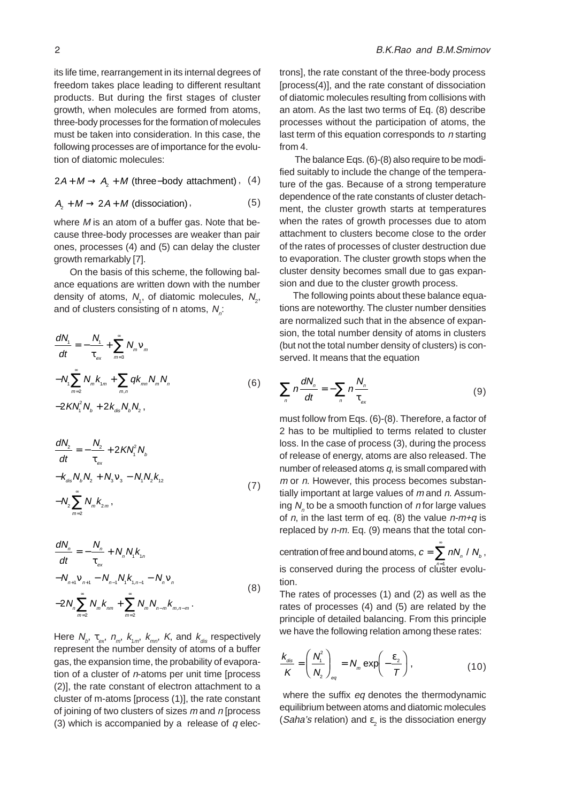its life time, rearrangement in its internal degrees of freedom takes place leading to different resultant products. But during the first stages of cluster growth, when molecules are formed from atoms, three-body processes for the formation of molecules must be taken into consideration. In this case, the following processes are of importance for the evolution of diatomic molecules:

$$
2A + M \rightarrow A_2 + M \text{ (three-body attachment), (4)}
$$

$$
A_2 + M \to 2A + M \text{ (dissociation)},
$$
 (5)

where  $M$  is an atom of a buffer gas. Note that because three-body processes are weaker than pair ones, processes (4) and (5) can delay the cluster growth remarkably [7].

 On the basis of this scheme, the following balance equations are written down with the number density of atoms,  $N_{1}$ , of diatomic molecules,  $N_{2}$ , and of clusters consisting of n atoms,  $N_{n}$ :

$$
\frac{dN_{1}}{dt} = -\frac{N_{1}}{\tau_{ex}} + \sum_{m=3}^{\infty} N_{m}V_{m}
$$

$$
-N_{1}\sum_{m=2}^{\infty} N_{m}K_{1m} + \sum_{m,n} qK_{mn}N_{m}N_{n}
$$

$$
-2KN_{1}^{2}N_{b} + 2K_{dis}N_{b}N_{2}, \qquad (6)
$$

$$
\frac{dN_2}{dt} = -\frac{N_2}{\tau_{ex}} + 2K N_1^2 N_b
$$
  

$$
-k_{dis} N_b N_2 + N_3 V_3 - N_1 N_2 k_{12}
$$
  

$$
-N_2 \sum_{m=2}^{\infty} N_m k_{2m},
$$
 (7)

$$
\frac{dN_n}{dt} = -\frac{N_n}{\tau_{ex}} + N_n N_1 k_{1n} \n- N_{n+1} V_{n+1} - N_{n-1} N_1 k_{1,n-1} - N_n V_n \n- 2N_n \sum_{m=2}^{\infty} N_m k_{nm} + \sum_{m=2}^{\infty} N_m N_{n-m} k_{m,n-m}.
$$
\n(8)

Here  $N_{_b},$   $\tau_{_{ex}},$   $n_{_m},$   $k_{_{1m}},$   $k_{_{mn}},$   $K$ , and  $k_{_{dis}}$  respectively represent the number density of atoms of a buffer gas, the expansion time, the probability of evaporation of a cluster of n-atoms per unit time [process (2)], the rate constant of electron attachment to a cluster of m-atoms [process (1)], the rate constant of joining of two clusters of sizes  $m$  and  $n$  [process (3) which is accompanied by a release of  $q$  electrons], the rate constant of the three-body process [process(4)], and the rate constant of dissociation of diatomic molecules resulting from collisions with an atom. As the last two terms of Eq. (8) describe processes without the participation of atoms, the last term of this equation corresponds to n starting from 4.

 The balance Eqs. (6)-(8) also require to be modified suitably to include the change of the temperature of the gas. Because of a strong temperature dependence of the rate constants of cluster detachment, the cluster growth starts at temperatures when the rates of growth processes due to atom attachment to clusters become close to the order of the rates of processes of cluster destruction due to evaporation. The cluster growth stops when the cluster density becomes small due to gas expansion and due to the cluster growth process.

The following points about these balance equations are noteworthy. The cluster number densities are normalized such that in the absence of expansion, the total number density of atoms in clusters (but not the total number density of clusters) is conserved. It means that the equation

$$
\sum_{n} n \frac{dN_n}{dt} = -\sum_{n} n \frac{N_n}{\tau_{\text{ex}}} \tag{9}
$$

must follow from Eqs. (6)-(8). Therefore, a factor of 2 has to be multiplied to terms related to cluster loss. In the case of process (3), during the process of release of energy, atoms are also released. The number of released atoms  $q$ , is small compared with m or n. However, this process becomes substantially important at large values of  $m$  and  $n$ . Assuming  $N_{n}^{\,}$  to be a smooth function of  $n$  for large values of n, in the last term of eq. (8) the value  $n-m+q$  is replaced by  $n-m$ . Eq. (9) means that the total con-

centration of free and bound atoms,  $c = \sum_{n=1}^{\infty} nN_n / N_b$  , is conserved during the process of cluster evolution.

The rates of processes (1) and (2) as well as the rates of processes (4) and (5) are related by the principle of detailed balancing. From this principle we have the following relation among these rates:

$$
\frac{k_{\text{dis}}}{K} = \left(\frac{N_1^2}{N_2}\right)_{\text{eq}} = N_m \exp\left(-\frac{\varepsilon_2}{T}\right),\tag{10}
$$

where the suffix eq denotes the thermodynamic equilibrium between atoms and diatomic molecules (Saha's relation) and  $\varepsilon$ <sub>2</sub> is the dissociation energy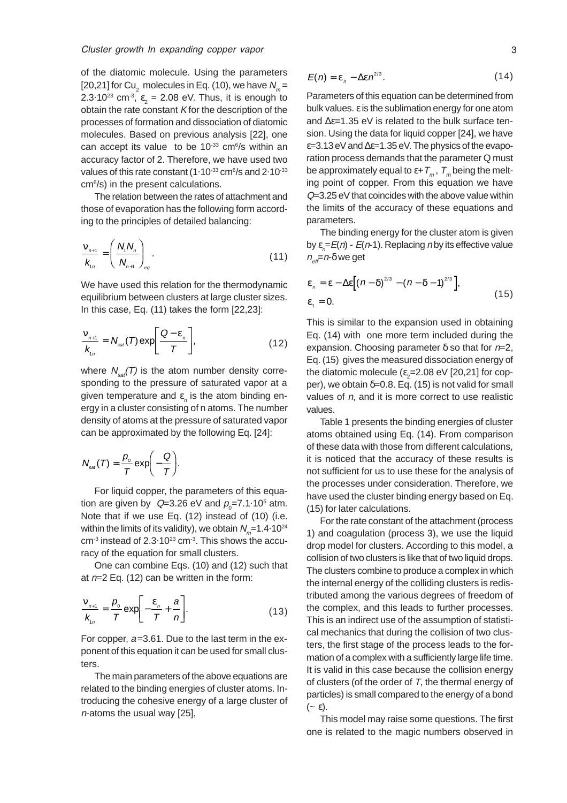of the diatomic molecule. Using the parameters [20,21] for Cu<sub>2</sub> molecules in Eq. (10), we have  $N_m$ = 2.3.10<sup>23</sup> cm<sup>-3</sup>,  $\varepsilon_2$  = 2.08 eV. Thus, it is enough to obtain the rate constant  $K$  for the description of the processes of formation and dissociation of diatomic molecules. Based on previous analysis [22], one can accept its value to be  $10^{-33}$  cm $6/$ s within an accuracy factor of 2. Therefore, we have used two values of this rate constant (1.10<sup>-33</sup> cm<sup>6</sup>/s and 2.10<sup>-33</sup> cm6 /s) in the present calculations.

The relation between the rates of attachment and those of evaporation has the following form according to the principles of detailed balancing:

$$
\frac{V_{n+1}}{K_{1n}} = \left(\frac{N_1 N_n}{N_{n+1}}\right)_{eq}.
$$
\n(11)

We have used this relation for the thermodynamic equilibrium between clusters at large cluster sizes. In this case, Eq. (11) takes the form [22,23]:

$$
\frac{V_{n+1}}{K_{1n}} = N_{sat}(T) \exp\left[\frac{Q - \varepsilon_n}{T}\right],
$$
 (12)

where  $N_{\text{tot}}(T)$  is the atom number density corresponding to the pressure of saturated vapor at a given temperature and  $\varepsilon$ <sub>n</sub> is the atom binding energy in a cluster consisting of n atoms. The number density of atoms at the pressure of saturated vapor can be approximated by the following Eq. [24]:

$$
N_{sat}(T)=\frac{p_{0}}{T}\exp\biggl(-\frac{Q}{T}\biggr).
$$

For liquid copper, the parameters of this equation are given by  $Q=3.26$  eV and  $p_{0}=7.1.10^{5}$  atm. Note that if we use Eq. (12) instead of (10) (i.e. within the limits of its validity), we obtain  $N_m$ =1.4.10<sup>24</sup>  $cm<sup>3</sup>$  instead of 2.3 $\cdot$ 10<sup>23</sup> cm<sup>-3</sup>. This shows the accuracy of the equation for small clusters.

One can combine Eqs. (10) and (12) such that at  $n=2$  Eq. (12) can be written in the form:

$$
\frac{v_{n+1}}{k_{n}} = \frac{p_0}{T} \exp\left[-\frac{\varepsilon_n}{T} + \frac{a}{n}\right].
$$
 (13)

For copper,  $a=3.61$ . Due to the last term in the exponent of this equation it can be used for small clusters.

The main parameters of the above equations are related to the binding energies of cluster atoms. Introducing the cohesive energy of a large cluster of <sup>n</sup>-atoms the usual way [25],

$$
E(n) = \varepsilon_n - \Delta \varepsilon n^{2/3}.
$$
 (14)

Parameters of this equation can be determined from bulk values. ε is the sublimation energy for one atom and ∆ε=1.35 eV is related to the bulk surface tension. Using the data for liquid copper [24], we have  $\varepsilon$ =3.13 eV and  $\Delta \varepsilon$ =1.35 eV. The physics of the evaporation process demands that the parameter Q must be approximately equal to  $\varepsilon + T_m$ ,  $T_m$  being the melting point of copper. From this equation we have Q=3.25 eV that coincides with the above value within the limits of the accuracy of these equations and parameters.

The binding energy for the cluster atom is given by  $\varepsilon_{n}^{}$ =E(n) - E(n-1). Replacing n by its effective value  $n_{\text{eff}}=n-\delta$  we get

$$
\varepsilon_n = \varepsilon - \Delta \varepsilon \Big[ (\frac{n - \delta}{^{2/3}} - (n - \delta - 1)^{2/3} \Big],
$$
\n
$$
\varepsilon_1 = 0.
$$
\n(15)

This is similar to the expansion used in obtaining Eq. (14) with one more term included during the expansion. Choosing parameter  $\delta$  so that for  $n=2$ , Eq. (15) gives the measured dissociation energy of the diatomic molecule ( $\varepsilon_{\textrm{2}}$ =2.08 eV [20,21] for copper), we obtain  $\delta = 0.8$ . Eq. (15) is not valid for small values of  $n$ , and it is more correct to use realistic values.

Table 1 presents the binding energies of cluster atoms obtained using Eq. (14). From comparison of these data with those from different calculations, it is noticed that the accuracy of these results is not sufficient for us to use these for the analysis of the processes under consideration. Therefore, we have used the cluster binding energy based on Eq. (15) for later calculations.

For the rate constant of the attachment (process 1) and coagulation (process 3), we use the liquid drop model for clusters. According to this model, a collision of two clusters is like that of two liquid drops. The clusters combine to produce a complex in which the internal energy of the colliding clusters is redistributed among the various degrees of freedom of the complex, and this leads to further processes. This is an indirect use of the assumption of statistical mechanics that during the collision of two clusters, the first stage of the process leads to the formation of a complex with a sufficiently large life time. It is valid in this case because the collision energy of clusters (of the order of  $T$ , the thermal energy of particles) is small compared to the energy of a bond  $(-\varepsilon)$ .

This model may raise some questions. The first one is related to the magic numbers observed in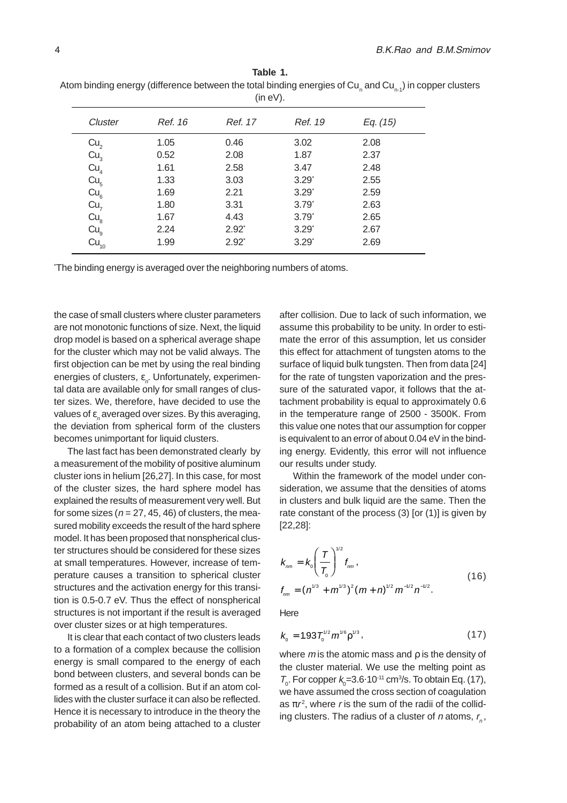|                              | (in eV). |                  |                     |          |  |  |  |
|------------------------------|----------|------------------|---------------------|----------|--|--|--|
| Cluster                      | Ref. 16  | Ref. 17          | Ref. 19             | Eq. (15) |  |  |  |
| Cu <sub>2</sub>              | 1.05     | 0.46             | 3.02                | 2.08     |  |  |  |
| Cu <sub>3</sub>              | 0.52     | 2.08             | 1.87                | 2.37     |  |  |  |
| Cu <sub>4</sub>              | 1.61     | 2.58             | 3.47                | 2.48     |  |  |  |
| Cu <sub>5</sub>              | 1.33     | 3.03             | $3.29*$             | 2.55     |  |  |  |
| Cu <sub>6</sub>              | 1.69     | 2.21             | $3.29$ <sup>*</sup> | 2.59     |  |  |  |
| Cu <sub>7</sub>              | 1.80     | 3.31             | $3.79*$             | 2.63     |  |  |  |
| Cu <sub>8</sub>              | 1.67     | 4.43             | $3.79*$             | 2.65     |  |  |  |
|                              | 2.24     | $2.92^{\degree}$ | $3.29^{\degree}$    | 2.67     |  |  |  |
| $cu_{9}$<br>Cu <sub>10</sub> | 1.99     | $2.92^{\degree}$ | $3.29*$             | 2.69     |  |  |  |

| Table 1.                                                                                                |
|---------------------------------------------------------------------------------------------------------|
| Atom binding energy (difference between the total binding energies of Cu, and Cu, 1) in copper clusters |
| $\ln \Delta \ln$                                                                                        |

\* The binding energy is averaged over the neighboring numbers of atoms.

the case of small clusters where cluster parameters are not monotonic functions of size. Next, the liquid drop model is based on a spherical average shape for the cluster which may not be valid always. The first objection can be met by using the real binding energies of clusters,  $\varepsilon_{\scriptscriptstyle n}$ . Unfortunately, experimental data are available only for small ranges of cluster sizes. We, therefore, have decided to use the values of  $\varepsilon_{_\rho}$  averaged over sizes. By this averaging, the deviation from spherical form of the clusters becomes unimportant for liquid clusters.

The last fact has been demonstrated clearly by a measurement of the mobility of positive aluminum cluster ions in helium [26,27]. In this case, for most of the cluster sizes, the hard sphere model has explained the results of measurement very well. But for some sizes ( $n = 27, 45, 46$ ) of clusters, the measured mobility exceeds the result of the hard sphere model. It has been proposed that nonspherical cluster structures should be considered for these sizes at small temperatures. However, increase of temperature causes a transition to spherical cluster structures and the activation energy for this transition is 0.5-0.7 eV. Thus the effect of nonspherical structures is not important if the result is averaged over cluster sizes or at high temperatures.

It is clear that each contact of two clusters leads to a formation of a complex because the collision energy is small compared to the energy of each bond between clusters, and several bonds can be formed as a result of a collision. But if an atom collides with the cluster surface it can also be reflected. Hence it is necessary to introduce in the theory the probability of an atom being attached to a cluster

after collision. Due to lack of such information, we assume this probability to be unity. In order to estimate the error of this assumption, let us consider this effect for attachment of tungsten atoms to the surface of liquid bulk tungsten. Then from data [24] for the rate of tungsten vaporization and the pressure of the saturated vapor, it follows that the attachment probability is equal to approximately 0.6 in the temperature range of 2500 - 3500K. From this value one notes that our assumption for copper is equivalent to an error of about 0.04 eV in the binding energy. Evidently, this error will not influence our results under study.

Within the framework of the model under consideration, we assume that the densities of atoms in clusters and bulk liquid are the same. Then the rate constant of the process (3) [or (1)] is given by [22,28]:

$$
k_{nm} = k_0 \left(\frac{T}{T_0}\right)^{1/2} f_{nm},
$$
  

$$
f_{nm} = (n^{1/3} + m^{1/3})^2 (m+n)^{1/2} m^{-1/2} n^{-1/2}.
$$
 (16)

Here

$$
k_0 = 1.93 T_0^{1/2} m^{1/6} \rho^{1/3}, \qquad (17)
$$

where  $m$  is the atomic mass and  $\rho$  is the density of the cluster material. We use the melting point as  $T_{0}$ . For copper  $k_{0} = 3.6 \cdot 10^{-11}$  cm<sup>3</sup>/s. To obtain Eq. (17), we have assumed the cross section of coagulation as  $\pi r^2$ , where r is the sum of the radii of the colliding clusters. The radius of a cluster of  $n$  atoms,  $r_{n}$ ,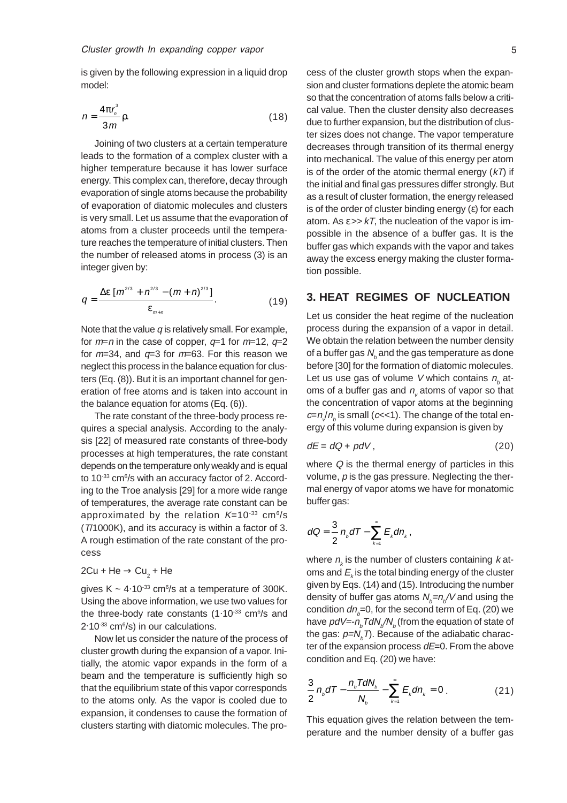is given by the following expression in a liquid drop model:

$$
n = \frac{4\pi r_n^3}{3m} \rho.
$$
 (18)

Joining of two clusters at a certain temperature leads to the formation of a complex cluster with a higher temperature because it has lower surface energy. This complex can, therefore, decay through evaporation of single atoms because the probability of evaporation of diatomic molecules and clusters is very small. Let us assume that the evaporation of atoms from a cluster proceeds until the temperature reaches the temperature of initial clusters. Then the number of released atoms in process (3) is an integer given by:

$$
q = \frac{\Delta \varepsilon \left[ m^{2/3} + n^{2/3} - (m+n)^{2/3} \right]}{\varepsilon_{m+n}}.
$$
 (19)

Note that the value  $q$  is relatively small. For example, for  $m=n$  in the case of copper,  $q=1$  for  $m=12$ ,  $q=2$ for  $m=34$ , and  $q=3$  for  $m=63$ . For this reason we neglect this process in the balance equation for clusters (Eq. (8)). But it is an important channel for generation of free atoms and is taken into account in the balance equation for atoms (Eq. (6)).

The rate constant of the three-body process requires a special analysis. According to the analysis [22] of measured rate constants of three-body processes at high temperatures, the rate constant depends on the temperature only weakly and is equal to 10<sup>-33</sup> cm<sup>6</sup>/s with an accuracy factor of 2. According to the Troe analysis [29] for a more wide range of temperatures, the average rate constant can be approximated by the relation  $K=10^{-33}$  cm<sup>6</sup>/s (T/1000K), and its accuracy is within a factor of 3. A rough estimation of the rate constant of the process

## 2Cu + He  $\rightarrow$  Cu $_{_2}$  + He

gives  $K \sim 4.10^{33}$  cm<sup>6</sup>/s at a temperature of 300K. Using the above information, we use two values for the three-body rate constants  $(1.10^{33} \text{ cm}^6/\text{s}$  and 2.10<sup>-33</sup> cm<sup>6</sup>/s) in our calculations.

Now let us consider the nature of the process of cluster growth during the expansion of a vapor. Initially, the atomic vapor expands in the form of a beam and the temperature is sufficiently high so that the equilibrium state of this vapor corresponds to the atoms only. As the vapor is cooled due to expansion, it condenses to cause the formation of clusters starting with diatomic molecules. The process of the cluster growth stops when the expansion and cluster formations deplete the atomic beam so that the concentration of atoms falls below a critical value. Then the cluster density also decreases due to further expansion, but the distribution of cluster sizes does not change. The vapor temperature decreases through transition of its thermal energy into mechanical. The value of this energy per atom is of the order of the atomic thermal energy  $(kT)$  if the initial and final gas pressures differ strongly. But as a result of cluster formation, the energy released is of the order of cluster binding energy (ε) for each atom. As  $\varepsilon$  >>  $kT$ , the nucleation of the vapor is impossible in the absence of a buffer gas. It is the buffer gas which expands with the vapor and takes away the excess energy making the cluster formation possible.

## **3. HEAT REGIMES OF NUCLEATION**

Let us consider the heat regime of the nucleation process during the expansion of a vapor in detail. We obtain the relation between the number density of a buffer gas  $\mathcal{N}_{{}_{b}}$  and the gas temperature as done before [30] for the formation of diatomic molecules. Let us use gas of volume V which contains  $n_{b}$  atoms of a buffer gas and  $n_{_{\rm v}}$  atoms of vapor so that the concentration of vapor atoms at the beginning  $c=n/n_{_b}$  is small (c<<1). The change of the total energy of this volume during expansion is given by

$$
dE = dQ + pdV, \t(20)
$$

where Q is the thermal energy of particles in this volume,  $p$  is the gas pressure. Neglecting the thermal energy of vapor atoms we have for monatomic buffer gas:

$$
dQ=\frac{3}{2}n_{b}dT-\sum_{k=1}^{\infty}E_{k}dn_{k},
$$

where  $n_{\scriptscriptstyle k}$  is the number of clusters containing  $k$  atoms and  $E_{_k}$  is the total binding energy of the cluster given by Eqs. (14) and (15). Introducing the number density of buffer gas atoms  $\mathcal{N}_b{=}n_b\mathcal{N}$  and using the condition  $dn_{\!b}$ =0, for the second term of Eq. (20) we have  $\rho dV$ =- $n_{_b}$ TdN $_{b}^{\prime}$ /N $_{b}^{\prime}$  (from the equation of state of the gas:  $\rho$ =N, $_{b}$ T). Because of the adiabatic character of the expansion process  $dE=0$ . From the above condition and Eq. (20) we have:

$$
\frac{3}{2}n_{b}dT - \frac{n_{b}T dN_{b}}{N_{b}} - \sum_{k=1}^{\infty} E_{k} dn_{k} = 0.
$$
 (21)

This equation gives the relation between the temperature and the number density of a buffer gas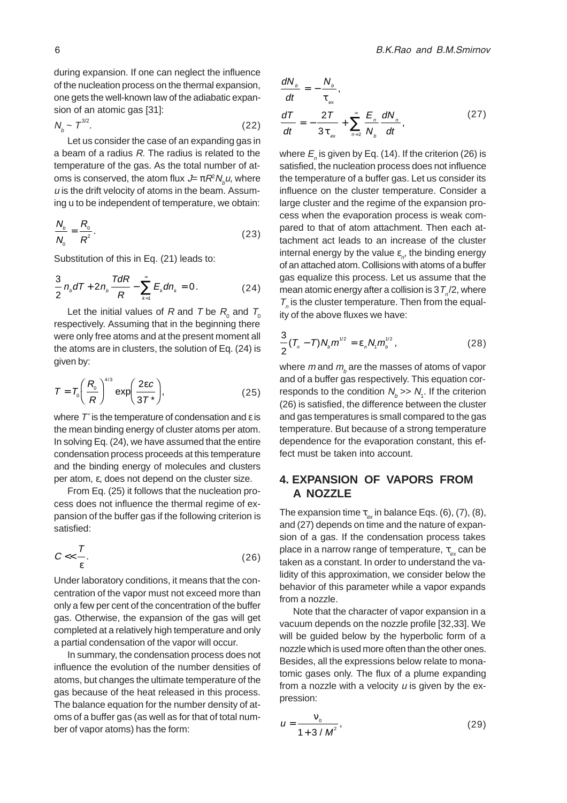during expansion. If one can neglect the influence of the nucleation process on the thermal expansion, one gets the well-known law of the adiabatic expansion of an atomic gas [31]:

$$
N_b \sim T^{3/2}.\tag{22}
$$

Let us consider the case of an expanding gas in a beam of a radius R. The radius is related to the temperature of the gas. As the total number of atoms is conserved, the atom flux  $\mathcal{J}\!\!=\pi\mathcal{R}^{\scriptscriptstyle{2}}\mathcal{N}_{\scriptscriptstyle{p}}\omega,$  where  $u$  is the drift velocity of atoms in the beam. Assuming u to be independent of temperature, we obtain:

$$
\frac{N_b}{N_0} = \frac{R_o}{R^2}.\tag{23}
$$

Substitution of this in Eq. (21) leads to:

$$
\frac{3}{2}n_{b}dT + 2n_{b}\frac{TdR}{R} - \sum_{k=1}^{\infty}E_{k}dn_{k} = 0.
$$
 (24)

Let the initial values of R and T be  $R_{_0}$  and  $T_{_0}$ respectively. Assuming that in the beginning there were only free atoms and at the present moment all the atoms are in clusters, the solution of Eq. (24) is given by:

$$
T = T_0 \left(\frac{R_0}{R}\right)^{4/3} \exp\left(\frac{2\epsilon c}{3T^*}\right),\tag{25}
$$

where  $\mathcal{T}^*$  is the temperature of condensation and  $\varepsilon$  is the mean binding energy of cluster atoms per atom. In solving Eq. (24), we have assumed that the entire condensation process proceeds at this temperature and the binding energy of molecules and clusters per atom, ε, does not depend on the cluster size.

From Eq. (25) it follows that the nucleation process does not influence the thermal regime of expansion of the buffer gas if the following criterion is satisfied:

$$
C \ll \frac{T}{\varepsilon}.\tag{26}
$$

Under laboratory conditions, it means that the concentration of the vapor must not exceed more than only a few per cent of the concentration of the buffer gas. Otherwise, the expansion of the gas will get completed at a relatively high temperature and only a partial condensation of the vapor will occur.

In summary, the condensation process does not influence the evolution of the number densities of atoms, but changes the ultimate temperature of the gas because of the heat released in this process. The balance equation for the number density of atoms of a buffer gas (as well as for that of total number of vapor atoms) has the form:

$$
\frac{dN_b}{dt} = -\frac{N_b}{\tau_{ex}},
$$
\n
$$
\frac{dT}{dt} = -\frac{2T}{3\tau_{ex}} + \sum_{n=2}^{\infty} \frac{E_n}{N_b} \frac{dN_n}{dt},
$$
\n(27)

where  $E_{_{\rho}}$  is given by Eq. (14). If the criterion (26) is satisfied, the nucleation process does not influence the temperature of a buffer gas. Let us consider its influence on the cluster temperature. Consider a large cluster and the regime of the expansion process when the evaporation process is weak compared to that of atom attachment. Then each attachment act leads to an increase of the cluster internal energy by the value  $\varepsilon_{\scriptscriptstyle n}^{\,}$ , the binding energy of an attached atom. Collisions with atoms of a buffer gas equalize this process. Let us assume that the mean atomic energy after a collision is  $3T_{n}/2$ , where  $T_{n}$  is the cluster temperature. Then from the equality of the above fluxes we have:

$$
\frac{3}{2}(\mathit{T}_{n}-\mathit{T})N_{b}m^{1/2}=\varepsilon_{n}N_{i}m_{b}^{1/2}, \qquad (28)
$$

where  $m$  and  $m_{_b}$  are the masses of atoms of vapor and of a buffer gas respectively. This equation corresponds to the condition  $N_{b} >> N_{1}$ . If the criterion (26) is satisfied, the difference between the cluster and gas temperatures is small compared to the gas temperature. But because of a strong temperature dependence for the evaporation constant, this effect must be taken into account.

# **4. EXPANSION OF VAPORS FROM A NOZZLE**

The expansion time  $\tau_{ex}$  in balance Eqs. (6), (7), (8), and (27) depends on time and the nature of expansion of a gas. If the condensation process takes place in a narrow range of temperature,  $\tau_{\text{max}}$  can be taken as a constant. In order to understand the validity of this approximation, we consider below the behavior of this parameter while a vapor expands from a nozzle.

Note that the character of vapor expansion in a vacuum depends on the nozzle profile [32,33]. We will be guided below by the hyperbolic form of a nozzle which is used more often than the other ones. Besides, all the expressions below relate to monatomic gases only. The flux of a plume expanding from a nozzle with a velocity  $u$  is given by the expression:

$$
u = \frac{v_{0}}{1 + 3/M^{2}},
$$
 (29)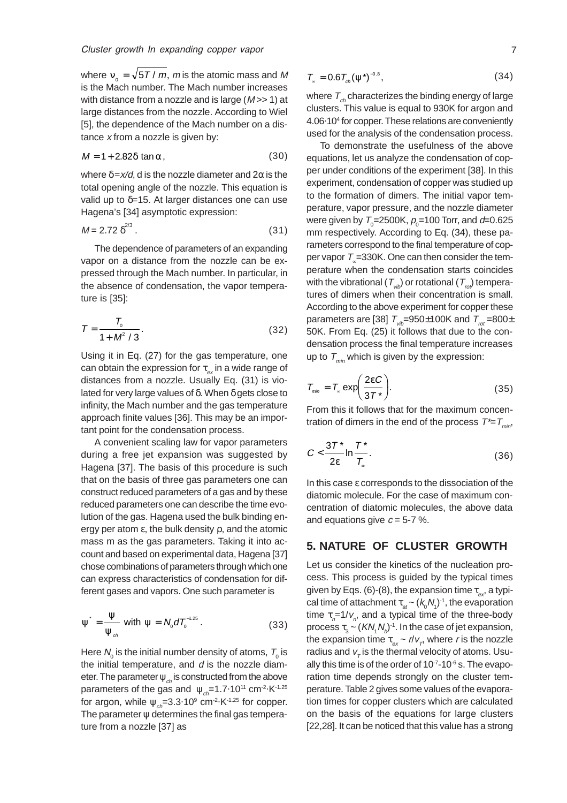where  $v_0 = \sqrt{5T/m}$ , m is the atomic mass and M is the Mach number. The Mach number increases with distance from a nozzle and is large  $(M \gg 1)$  at large distances from the nozzle. According to Wiel [5], the dependence of the Mach number on a distance  $x$  from a nozzle is given by:

$$
M = 1 + 2.82\delta \tan \alpha, \tag{30}
$$

where  $\delta = x/d$ , d is the nozzle diameter and  $2\alpha$  is the total opening angle of the nozzle. This equation is valid up to  $\delta$ =15. At larger distances one can use Hagena's [34] asymptotic expression:

$$
M = 2.72 \delta^{2/3} \,. \tag{31}
$$

The dependence of parameters of an expanding vapor on a distance from the nozzle can be expressed through the Mach number. In particular, in the absence of condensation, the vapor temperature is [35]:

$$
T = \frac{T_0}{1 + M^2 / 3}.
$$
 (32)

Using it in Eq. (27) for the gas temperature, one can obtain the expression for  $\tau_{ex}$  in a wide range of distances from a nozzle. Usually Eq. (31) is violated for very large values of δ. When δ gets close to infinity, the Mach number and the gas temperature approach finite values [36]. This may be an important point for the condensation process.

A convenient scaling law for vapor parameters during a free jet expansion was suggested by Hagena [37]. The basis of this procedure is such that on the basis of three gas parameters one can construct reduced parameters of a gas and by these reduced parameters one can describe the time evolution of the gas. Hagena used the bulk binding energy per atom ε, the bulk density ρ, and the atomic mass m as the gas parameters. Taking it into account and based on experimental data, Hagena [37] chose combinations of parameters through which one can express characteristics of condensation for different gases and vapors. One such parameter is

$$
\psi^{\cdot} = \frac{\Psi}{\Psi_{\text{ch}}}
$$
 with  $\psi = N_0 dT_0^{-1.25}$ . (33)

Here  $\mathcal{N}_{_{\!0}}$  is the initial number density of atoms,  $\mathcal{T}_{_{\!0}}$  is the initial temperature, and  $d$  is the nozzle diameter. The parameter  $\psi_{ch}$  is constructed from the above parameters of the gas and  $\psi_{ch} = 1.7 \cdot 10^{11}$  cm<sup>-2</sup> K<sup>-1.25</sup> for argon, while  $\psi_{ch} = 3.3.10^9 \text{ cm}^2 \cdot \text{K}^{-1.25}$  for copper. The parameter  $\psi$  determines the final gas temperature from a nozzle [37] as

$$
T_{\rm m} = 0.6 T_{\rm ch} (\psi^*)^{-0.8}, \tag{34}
$$

where  $T_{ch}$  characterizes the binding energy of large clusters. This value is equal to 930K for argon and 4.06. 104 for copper. These relations are conveniently used for the analysis of the condensation process.

To demonstrate the usefulness of the above equations, let us analyze the condensation of copper under conditions of the experiment [38]. In this experiment, condensation of copper was studied up to the formation of dimers. The initial vapor temperature, vapor pressure, and the nozzle diameter were given by  $\mathcal{T}_{_0}\!\!=\!\!2500$ K,  $\rho_{_0}\!\!=\!\!100$  Torr, and  $d\!\!=\!\!0.625$ mm respectively. According to Eq. (34), these parameters correspond to the final temperature of copper vapor  $T = 330K$ . One can then consider the temperature when the condensation starts coincides with the vibrational ( $T_{vib}$ ) or rotational ( $T_{vib}$ ) temperatures of dimers when their concentration is small. According to the above experiment for copper these parameters are [38]  $T_{\text{w}z}$ =950±100K and  $T_{\text{rot}}$ =800± 50K. From Eq. (25) it follows that due to the condensation process the final temperature increases up to  $T_{\text{min}}$  which is given by the expression:

$$
T_{\min} = T_{\infty} \exp\left(\frac{2\epsilon C}{3T^*}\right).
$$
 (35)

From this it follows that for the maximum concentration of dimers in the end of the process  $T^* = T_{min}$ ,

$$
C < \frac{3T^*}{2\epsilon} \ln \frac{T^*}{T_{\text{ex}}}.
$$
 (36)

In this case ε corresponds to the dissociation of the diatomic molecule. For the case of maximum concentration of diatomic molecules, the above data and equations give  $c = 5-7$  %.

#### **5. NATURE OF CLUSTER GROWTH**

Let us consider the kinetics of the nucleation process. This process is guided by the typical times given by Eqs. (6)-(8), the expansion time  $\tau_{\infty}$ , a typical time of attachment  $\tau_{_{at}}$  ~  $(k_{_0}\mathcal{N}_{_1})^{\text{-}1}$ , the evaporation time  $\tau_{n}$ =1/ $v_{n}$ , and a typical time of the three-body process  $\tau_{3}$  ~  $(\mathsf{KN}_{\scriptscriptstyle{1}}\mathsf{N}_{\scriptscriptstyle{b}})^{\scriptscriptstyle{-1}}.$  In the case of jet expansion, the expansion time  $\tau_{ex}$  ~  $\textit{r/v}_{T}$  where  $\textit{r}$  is the nozzle radius and  $v_\tau$  is the thermal velocity of atoms. Usually this time is of the order of  $10^{-7}$ -10 $^6$  s. The evaporation time depends strongly on the cluster temperature. Table 2 gives some values of the evaporation times for copper clusters which are calculated on the basis of the equations for large clusters [22,28]. It can be noticed that this value has a strong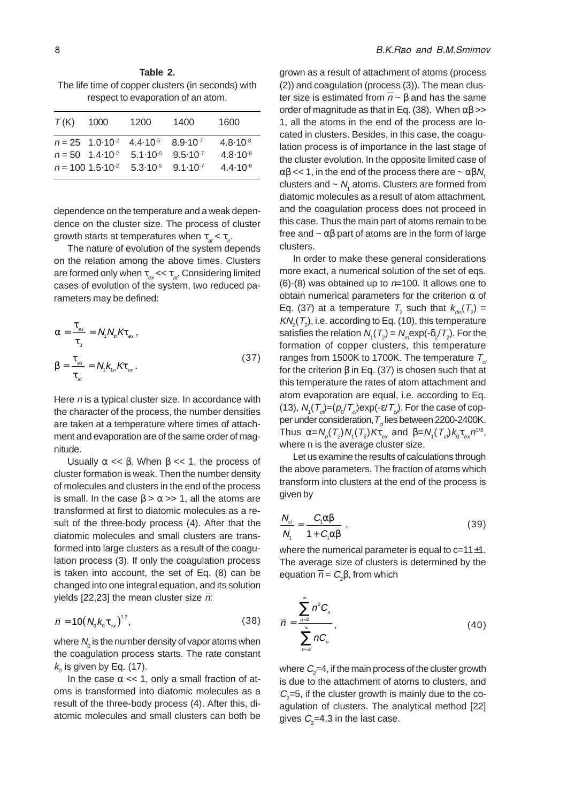**Table 2.** The life time of copper clusters (in seconds) with respect to evaporation of an atom.

| T(K)                          | 1000 | 1200                | 1400                | 1600                |
|-------------------------------|------|---------------------|---------------------|---------------------|
| $n = 25$ 1.0.10 <sup>-2</sup> |      | $4.4 \cdot 10^{-5}$ | $8.9 \cdot 10^{-7}$ | $4.8 \cdot 10^{-8}$ |
| $n = 50$ 1.4.10 <sup>-2</sup> |      | $5.1 \cdot 10^{-5}$ | $9.5 \cdot 10^{-7}$ | $4.8 \cdot 10^{-8}$ |
| $n = 100$ 1.5 $10^{-2}$       |      | $5.3 \cdot 10^{-5}$ | $9.1 \cdot 10^{-7}$ | $4.4 \cdot 10^{-8}$ |

dependence on the temperature and a weak dependence on the cluster size. The process of cluster growth starts at temperatures when  $\tau_{at} < \tau_{0}$ .

The nature of evolution of the system depends on the relation among the above times. Clusters are formed only when  $\tau_{ex} \ll \tau_{ar}$ . Considering limited cases of evolution of the system, two reduced parameters may be defined:

$$
\alpha = \frac{\tau_{\text{ex}}}{\tau_{\text{s}}} = N_{\text{t}} N_{\text{b}} K \tau_{\text{ex}},
$$
  

$$
\beta = \frac{\tau_{\text{ex}}}{\tau_{\text{at}}} = N_{\text{t}} k_{\text{th}} K \tau_{\text{ex}}.
$$
 (37)

Here n is a typical cluster size. In accordance with the character of the process, the number densities are taken at a temperature where times of attachment and evaporation are of the same order of magnitude.

Usually  $\alpha \ll \beta$ . When  $\beta \ll 1$ , the process of cluster formation is weak. Then the number density of molecules and clusters in the end of the process is small. In the case  $\beta > \alpha >> 1$ , all the atoms are transformed at first to diatomic molecules as a result of the three-body process (4). After that the diatomic molecules and small clusters are transformed into large clusters as a result of the coagulation process (3). If only the coagulation process is taken into account, the set of Eq. (8) can be changed into one integral equation, and its solution yields [22,23] the mean cluster size  $\overline{n}$ :

$$
\overline{n} = 10\left(N_{0}k_{0}\tau_{ex}\right)^{1.2},\qquad(38)
$$

where  $\mathcal{N}_{_{\rm O}}$  is the number density of vapor atoms when the coagulation process starts. The rate constant  $k_{\!\scriptscriptstyle (\!\chi\!)}$  is given by Eq. (17).

In the case  $\alpha \ll 1$ , only a small fraction of atoms is transformed into diatomic molecules as a result of the three-body process (4). After this, diatomic molecules and small clusters can both be

grown as a result of attachment of atoms (process (2)) and coagulation (process (3)). The mean cluster size is estimated from  $\overline{n}$  ~ β and has the same order of magnitude as that in Eq. (38). When  $\alpha\beta$  >> 1, all the atoms in the end of the process are located in clusters. Besides, in this case, the coagulation process is of importance in the last stage of the cluster evolution. In the opposite limited case of  $\alpha\beta \ll 1$ , in the end of the process there are  $\sim \alpha\beta N$ . clusters and  $\sim N_{_1}$  atoms. Clusters are formed from diatomic molecules as a result of atom attachment, and the coagulation process does not proceed in this case. Thus the main part of atoms remain to be free and  $\sim \alpha \beta$  part of atoms are in the form of large clusters.

In order to make these general considerations more exact, a numerical solution of the set of eqs.  $(6)-(8)$  was obtained up to  $n=100$ . It allows one to obtain numerical parameters for the criterion  $\alpha$  of Eq. (37) at a temperature  $T_2$  such that  $k_{dis}(T_2)$  =  $\mathsf{KN}_\mathrm{\scriptscriptstyle{2}}(\mathcal{T}_\mathrm{\scriptscriptstyle{2}})$ , i.e. according to Eq. (10), this temperature satisfies the relation  $N_1(T_2) = N_m \exp(-\delta_2/T_2)$ . For the formation of copper clusters, this temperature ranges from 1500K to 1700K. The temperature  $T_{cl}$ for the criterion β in Eq. (37) is chosen such that at this temperature the rates of atom attachment and atom evaporation are equal, i.e. according to Eq. (13),  $N_{\scriptscriptstyle{1}}(T_{\scriptscriptstyle{cl}})$ =( $\rho_{\scriptscriptstyle{0}}/T_{\scriptscriptstyle{cl}}$ )exp(-ɛ/ $T_{\scriptscriptstyle{cl}}$ ). For the case of copper under consideration,  $\mathcal{T}_{cl}$ lies between 2200-2400K. Thus  $\alpha = N_b(T_2)N_1(T_2)K\tau_{ex}$  and  $\beta = N_1(T_{c_l})k_{_0}\tau_{ex}n^{1/6},$ where n is the average cluster size.

Let us examine the results of calculations through the above parameters. The fraction of atoms which transform into clusters at the end of the process is given by

$$
\frac{N_{cl}}{N_1} = \frac{C_1 \alpha \beta}{1 + C_1 \alpha \beta} \tag{39}
$$

where the numerical parameter is equal to  $c=11\pm1$ . The average size of clusters is determined by the equation  $\overline{n}$  =  $C_{2}$ β, from which

$$
\overline{n} = \frac{\sum_{n=2}^{\infty} n^2 C_n}{\sum_{n=2}^{\infty} n C_n},
$$
\n(40)

where  $C_{\rm 2}$ =4, if the main process of the cluster growth is due to the attachment of atoms to clusters, and  $C_2$ =5, if the cluster growth is mainly due to the coagulation of clusters. The analytical method [22] gives  $\mathcal{C}_{_{\!2}\!\!}$ =4.3 in the last case.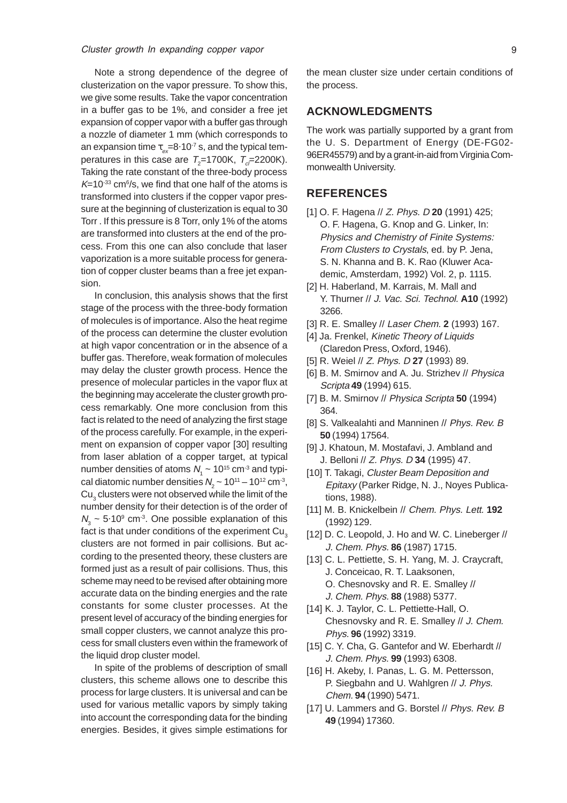Note a strong dependence of the degree of clusterization on the vapor pressure. To show this, we give some results. Take the vapor concentration in a buffer gas to be 1%, and consider a free jet expansion of copper vapor with a buffer gas through a nozzle of diameter 1 mm (which corresponds to an expansion time  $\tau_{ex} = 8.10^{-7}$  s, and the typical temperatures in this case are  $T_{2}$ =1700K,  $T_{c}$ =2200K). Taking the rate constant of the three-body process  $K$ =10 $33$  cm $6/$ s, we find that one half of the atoms is transformed into clusters if the copper vapor pressure at the beginning of clusterization is equal to 30 Torr . If this pressure is 8 Torr, only 1% of the atoms are transformed into clusters at the end of the process. From this one can also conclude that laser vaporization is a more suitable process for generation of copper cluster beams than a free jet expansion.

In conclusion, this analysis shows that the first stage of the process with the three-body formation of molecules is of importance. Also the heat regime of the process can determine the cluster evolution at high vapor concentration or in the absence of a buffer gas. Therefore, weak formation of molecules may delay the cluster growth process. Hence the presence of molecular particles in the vapor flux at the beginning may accelerate the cluster growth process remarkably. One more conclusion from this fact is related to the need of analyzing the first stage of the process carefully. For example, in the experiment on expansion of copper vapor [30] resulting from laser ablation of a copper target, at typical number densities of atoms  $N_{1}$  ~ 10<sup>15</sup> cm<sup>-3</sup> and typical diatomic number densities  $N_{2}$  ~ 10 $^{\text{11}}$  – 10 $^{\text{12}}$  cm<sup>-3</sup>,  ${\sf Cu}_\mathfrak z$  clusters were not observed while the limit of the number density for their detection is of the order of  $N<sub>3</sub>$  ~ 5·10<sup>9</sup> cm<sup>-3</sup>. One possible explanation of this fact is that under conditions of the experiment Cu<sub>2</sub> clusters are not formed in pair collisions. But according to the presented theory, these clusters are formed just as a result of pair collisions. Thus, this scheme may need to be revised after obtaining more accurate data on the binding energies and the rate constants for some cluster processes. At the present level of accuracy of the binding energies for small copper clusters, we cannot analyze this process for small clusters even within the framework of the liquid drop cluster model.

In spite of the problems of description of small clusters, this scheme allows one to describe this process for large clusters. It is universal and can be used for various metallic vapors by simply taking into account the corresponding data for the binding energies. Besides, it gives simple estimations for the mean cluster size under certain conditions of the process.

# **ACKNOWLEDGMENTS**

The work was partially supported by a grant from the U. S. Department of Energy (DE-FG02- 96ER45579) and by a grant-in-aid from Virginia Commonwealth University.

#### **REFERENCES**

- [1] O. F. Hagena // Z. Phys. D **20** (1991) 425; O. F. Hagena, G. Knop and G. Linker, In: Physics and Chemistry of Finite Systems: From Clusters to Crystals, ed. by P. Jena, S. N. Khanna and B. K. Rao (Kluwer Academic, Amsterdam, 1992) Vol. 2, p. 1115.
- [2] H. Haberland, M. Karrais, M. Mall and Y. Thurner // J. Vac. Sci. Technol. **A10** (1992) 3266.
- [3] R. E. Smalley // Laser Chem. **2** (1993) 167.
- [4] Ja. Frenkel, Kinetic Theory of Liquids (Claredon Press, Oxford, 1946).
- [5] R. Weiel // Z. Phys. D **27** (1993) 89.
- [6] B. M. Smirnov and A. Ju. Strizhev // Physica Scripta **49** (1994) 615.
- [7] B. M. Smirnov // Physica Scripta **50** (1994) 364.
- [8] S. Valkealahti and Manninen // Phys. Rev. B **50** (1994) 17564.
- [9] J. Khatoun, M. Mostafavi, J. Ambland and J. Belloni // Z. Phys. D **34** (1995) 47.
- [10] T. Takagi, Cluster Beam Deposition and Epitaxy (Parker Ridge, N. J., Noyes Publications, 1988).
- [11] M. B. Knickelbein // Chem. Phys. Lett. **192** (1992) 129.
- [12] D. C. Leopold, J. Ho and W. C. Lineberger // J. Chem. Phys. **86** (1987) 1715.
- [13] C. L. Pettiette, S. H. Yang, M. J. Craycraft, J. Conceicao, R. T. Laaksonen, O. Chesnovsky and R. E. Smalley // J. Chem. Phys. **88** (1988) 5377.
- [14] K. J. Taylor, C. L. Pettiette-Hall, O. Chesnovsky and R. E. Smalley // J. Chem. Phys. **96** (1992) 3319.
- [15] C. Y. Cha, G. Gantefor and W. Eberhardt // J. Chem. Phys. **99** (1993) 6308.
- [16] H. Akeby, I. Panas, L. G. M. Pettersson, P. Siegbahn and U. Wahlgren // J. Phys. Chem. **94** (1990) 5471.
- [17] U. Lammers and G. Borstel // Phys. Rev. B **49** (1994) 17360.